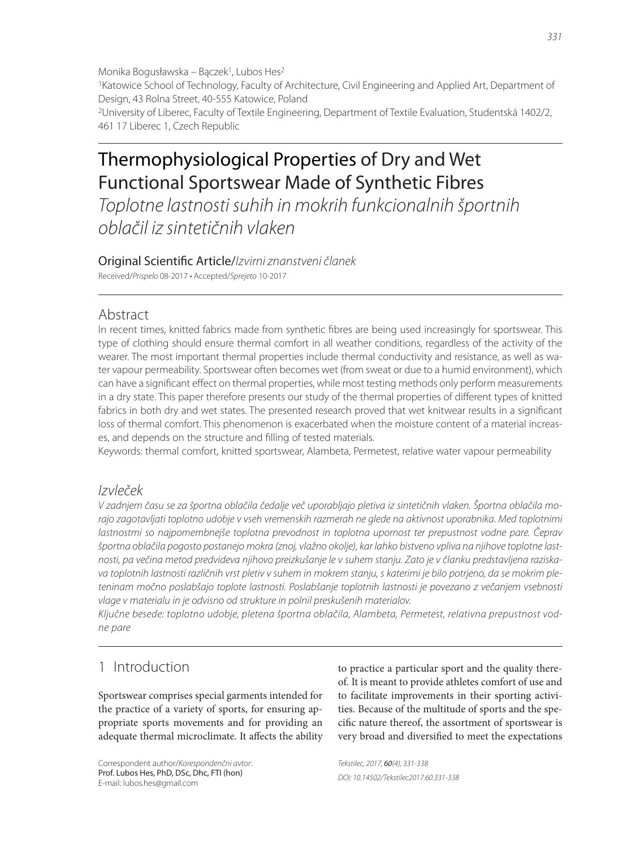Monika Bogusławska – Bączek1, Lubos Hes2 1Katowice School of Technology, Faculty of Architecture, Civil Engineering and Applied Art, Department of Design, 43 Rolna Street, 40-555 Katowice, Poland 2University of Liberec, Faculty of Textile Engineering, Department of Textile Evaluation, Studentská 1402/2, 461 17 Liberec 1, Czech Republic

# Thermophysiological Properties of Dry and Wet Functional Sportswear Made of Synthetic Fibres

Toplotne lastnosti suhih in mokrih funkcionalnih športnih oblačil iz sintetičnih vlaken

#### Original Scientific Article/Izvirni znanstveni članek

Received/Prispelo 08-2017 • Accepted/Sprejeto 10-2017

# Abstract

In recent times, knitted fabrics made from synthetic fibres are being used increasingly for sportswear. This type of clothing should ensure thermal comfort in all weather conditions, regardless of the activity of the wearer. The most important thermal properties include thermal conductivity and resistance, as well as water vapour permeability. Sportswear often becomes wet (from sweat or due to a humid environment), which can have a significant effect on thermal properties, while most testing methods only perform measurements in a dry state. This paper therefore presents our study of the thermal properties of different types of knitted fabrics in both dry and wet states. The presented research proved that wet knitwear results in a significant loss of thermal comfort. This phenomenon is exacerbated when the moisture content of a material increases, and depends on the structure and filling of tested materials.

Keywords: thermal comfort, knitted sportswear, Alambeta, Permetest, relative water vapour permeability

# Izvleček

V zadnjem času se za športna oblačila čedalje več uporabljajo pletiva iz sintetičnih vlaken. Športna oblačila morajo zagotavljati toplotno udobje v vseh vremenskih razmerah ne glede na aktivnost uporabnika. Med toplotnimi lastnostmi so najpomembnejše toplotna prevodnost in toplotna upornost ter prepustnost vodne pare. Čeprav športna oblačila pogosto postanejo mokra (znoj, vlažno okolje), kar lahko bistveno vpliva na njihove toplotne lastnosti, pa večina metod predvideva njihovo preizkušanje le v suhem stanju. Zato je v članku predstavljena raziskava toplotnih lastnosti različnih vrst pletiv v suhem in mokrem stanju, s katerimi je bilo potrjeno, da se mokrim pleteninam močno poslabšajo toplote lastnosti. Poslabšanje toplotnih lastnosti je povezano z večanjem vsebnosti vlage v materialu in je odvisno od strukture in polnil preskušenih materialov.

Ključne besede: toplotno udobje, pletena športna oblačila, Alambeta, Permetest, relativna prepustnost vodne pare

# 1 Introduction

Sportswear comprises special garments intended for the practice of a variety of sports, for ensuring appropriate sports movements and for providing an adequate thermal microclimate. It affects the ability

Correspondent author/Korespondenčni avtor: Prof. Lubos Hes, PhD, DSc, Dhc, FTI (hon) E-mail: lubos.hes@gmail.com

to practice a particular sport and the quality thereof. It is meant to provide athletes comfort of use and to facilitate improvements in their sporting activities. Because of the multitude of sports and the specific nature thereof, the assortment of sportswear is very broad and diversified to meet the expectations

Tekstilec, 2017, 60(4), 331-338 DOI: 10.14502/Tekstilec2017.60.331-338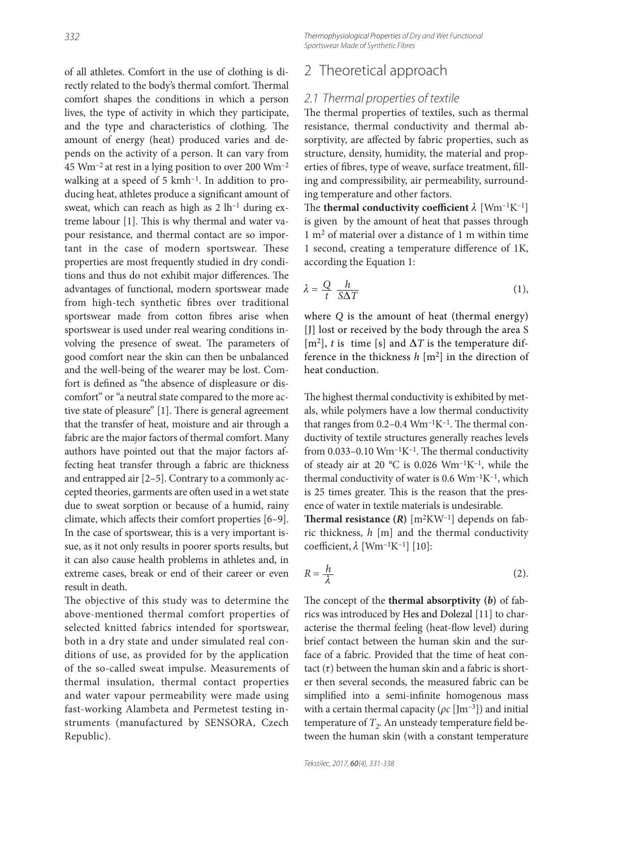of all athletes. Comfort in the use of clothing is directly related to the body's thermal comfort. Thermal comfort shapes the conditions in which a person lives, the type of activity in which they participate, and the type and characteristics of clothing. The amount of energy (heat) produced varies and depends on the activity of a person. It can vary from 45 Wm–2 at rest in a lying position to over 200 Wm–2 walking at a speed of 5 kmh<sup>-1</sup>. In addition to producing heat, athletes produce a significant amount of sweat, which can reach as high as  $2 \text{ lh}^{-1}$  during extreme labour [1]. This is why thermal and water vapour resistance, and thermal contact are so important in the case of modern sportswear. These properties are most frequently studied in dry conditions and thus do not exhibit major differences. The advantages of functional, modern sportswear made from high-tech synthetic fibres over traditional sportswear made from cotton fibres arise when sportswear is used under real wearing conditions involving the presence of sweat. The parameters of good comfort near the skin can then be unbalanced and the well-being of the wearer may be lost. Comfort is defined as "the absence of displeasure or discomfort" or "a neutral state compared to the more active state of pleasure" [1]. There is general agreement that the transfer of heat, moisture and air through a fabric are the major factors of thermal comfort. Many authors have pointed out that the major factors affecting heat transfer through a fabric are thickness and entrapped air [2–5]. Contrary to a commonly accepted theories, garments are often used in a wet state due to sweat sorption or because of a humid, rainy climate, which affects their comfort properties [6-9]. In the case of sportswear, this is a very important issue, as it not only results in poorer sports results, but it can also cause health problems in athletes and, in extreme cases, break or end of their career or even result in death.

The objective of this study was to determine the above-mentioned thermal comfort properties of selected knitted fabrics intended for sportswear, both in a dry state and under simulated real conditions of use, as provided for by the application of the so-called sweat impulse. Measurements of thermal insulation, thermal contact properties and water vapour permeability were made using fast-working Alambeta and Permetest testing instruments (manufactured by SENSORA, Czech Republic).

Thermophysiological Properties of Dry and Wet Functional Sportswear Made of Synthetic Fibres

# 2 Theoretical approach

#### 2.1 Thermal properties of textile

The thermal properties of textiles, such as thermal resistance, thermal conductivity and thermal absorptivity, are affected by fabric properties, such as structure, density, humidity, the material and properties of fibres, type of weave, surface treatment, filling and compressibility, air permeability, surrounding temperature and other factors.

The **thermal conductivity coefficient**  $\lambda$  [Wm<sup>-1</sup>K<sup>-1</sup>] is given by the amount of heat that passes through 1 m2 of material over a distance of 1 m within time 1 second, creating a temperature difference of 1K, according the Equation 1:

$$
\lambda = \frac{Q}{t} \frac{h}{S\Delta T} \tag{1}
$$

where *Q* is the amount of heat (thermal energy) [J] lost or received by the body through the area S [m<sup>2</sup>], *t* is time [s] and  $\Delta T$  is the temperature difference in the thickness *h* [m2] in the direction of heat conduction.

The highest thermal conductivity is exhibited by metals, while polymers have a low thermal conductivity that ranges from  $0.2-0.4$  Wm<sup>-1</sup>K<sup>-1</sup>. The thermal conductivity of textile structures generally reaches levels from  $0.033-0.10$  Wm<sup>-1</sup>K<sup>-1</sup>. The thermal conductivity of steady air at 20 °C is 0.026 Wm–1K–1, while the thermal conductivity of water is  $0.6 \text{ Wm}^{-1}\text{K}^{-1}$ , which is 25 times greater. This is the reason that the presence of water in textile materials is undesirable.

**Thermal resistance**  $(R)$  $[m^2KW^{-1}]$  **depends on fab**ric thickness, *h* [m] and the thermal conductivity coefficient,  $\lambda$  [Wm<sup>-1</sup>K<sup>-1</sup>] [10]:

$$
R = \frac{h}{\lambda} \tag{2}
$$

The concept of the **thermal absorptivity**  $(b)$  of fabrics was introduced by Hes and Dolezal [11] to characterise the thermal feeling (heat-flow level) during brief contact between the human skin and the surface of a fabric. Provided that the time of heat contact  $(\tau)$  between the human skin and a fabric is shorter then several seconds, the measured fabric can be simplified into a semi-infinite homogenous mass with a certain thermal capacity (*ρc* [Jm–3]) and initial temperature of  $T<sub>2</sub>$ . An unsteady temperature field between the human skin (with a constant temperature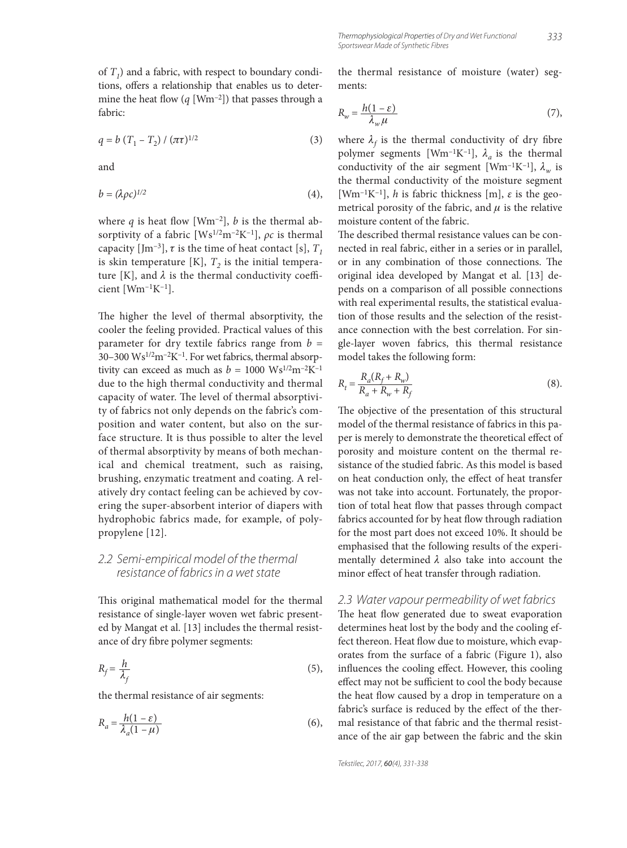of  $T_1$ ) and a fabric, with respect to boundary conditions, offers a relationship that enables us to determine the heat flow  $(q \text{ [Wm}^{-2]})$  that passes through a fabric:

$$
q = b (T_1 - T_2) / (\pi \tau)^{1/2}
$$
 (3)

and

$$
b = (\lambda \rho c)^{1/2} \tag{4},
$$

where  $q$  is heat flow [Wm<sup>-2</sup>],  $b$  is the thermal absorptivity of a fabric [Ws1/2m–2K–1], *ρc* is thermal capacity [Jm<sup>-3</sup>],  $\tau$  is the time of heat contact [s],  $T_1$ is skin temperature  $[K]$ ,  $T<sub>2</sub>$  is the initial temperature [K], and  $\lambda$  is the thermal conductivity coefficient [Wm–1K–1].

The higher the level of thermal absorptivity, the cooler the feeling provided. Practical values of this parameter for dry textile fabrics range from  $b =$ 30–300 Ws1/2m–2K–1. For wet fabrics, thermal absorptivity can exceed as much as  $b = 1000 \text{ Ws}^{1/2} \text{m}^{-2} \text{K}^{-1}$ due to the high thermal conductivity and thermal capacity of water. The level of thermal absorptivity of fabrics not only depends on the fabric's composition and water content, but also on the surface structure. It is thus possible to alter the level of thermal absorptivity by means of both mechanical and chemical treatment, such as raising, brushing, enzymatic treatment and coating. A relatively dry contact feeling can be achieved by covering the super-absorbent interior of diapers with hydrophobic fabrics made, for example, of polypropylene [12].

#### 2.2 Semi-empirical model of the thermal resistance of fabrics in a wet state

This original mathematical model for the thermal resistance of single-layer woven wet fabric presented by Mangat et al. [13] includes the thermal resistance of dry fibre polymer segments:

$$
R_f = \frac{h}{\lambda_f} \tag{5}
$$

the thermal resistance of air segments:

$$
R_a = \frac{h(1 - \varepsilon)}{\lambda_a (1 - \mu)}\tag{6}
$$

the thermal resistance of moisture (water) segments:

$$
R_w = \frac{h(1 - \varepsilon)}{\lambda_w \mu} \tag{7}
$$

where  $\lambda_f$  is the thermal conductivity of dry fibre polymer segments [Wm<sup>-1</sup>K<sup>-1</sup>],  $\lambda_a$  is the thermal conductivity of the air segment [Wm<sup>-1</sup>K<sup>-1</sup>],  $\lambda_w$  is the thermal conductivity of the moisture segment [Wm<sup>-1</sup>K<sup>-1</sup>], *h* is fabric thickness [m],  $\varepsilon$  is the geometrical porosity of the fabric, and  $\mu$  is the relative moisture content of the fabric.

The described thermal resistance values can be connected in real fabric, either in a series or in parallel, or in any combination of those connections. The original idea developed by Mangat et al. [13] depends on a comparison of all possible connections with real experimental results, the statistical evaluation of those results and the selection of the resistance connection with the best correlation. For single-layer woven fabrics, this thermal resistance model takes the following form:

$$
R_{t} = \frac{R_{a}(R_{f} + R_{w})}{R_{a} + R_{w} + R_{f}}
$$
(8).

The objective of the presentation of this structural model of the thermal resistance of fabrics in this paper is merely to demonstrate the theoretical effect of porosity and moisture content on the thermal resistance of the studied fabric. As this model is based on heat conduction only, the effect of heat transfer was not take into account. Fortunately, the proportion of total heat flow that passes through compact fabrics accounted for by heat flow through radiation for the most part does not exceed 10%. It should be emphasised that the following results of the experimentally determined  $\lambda$  also take into account the minor effect of heat transfer through radiation.

#### 2.3 Water vapour permeability of wet fabrics

The heat flow generated due to sweat evaporation determines heat lost by the body and the cooling effect thereon. Heat flow due to moisture, which evaporates from the surface of a fabric (Figure 1), also influences the cooling effect. However, this cooling effect may not be sufficient to cool the body because the heat flow caused by a drop in temperature on a fabric's surface is reduced by the effect of the thermal resistance of that fabric and the thermal resistance of the air gap between the fabric and the skin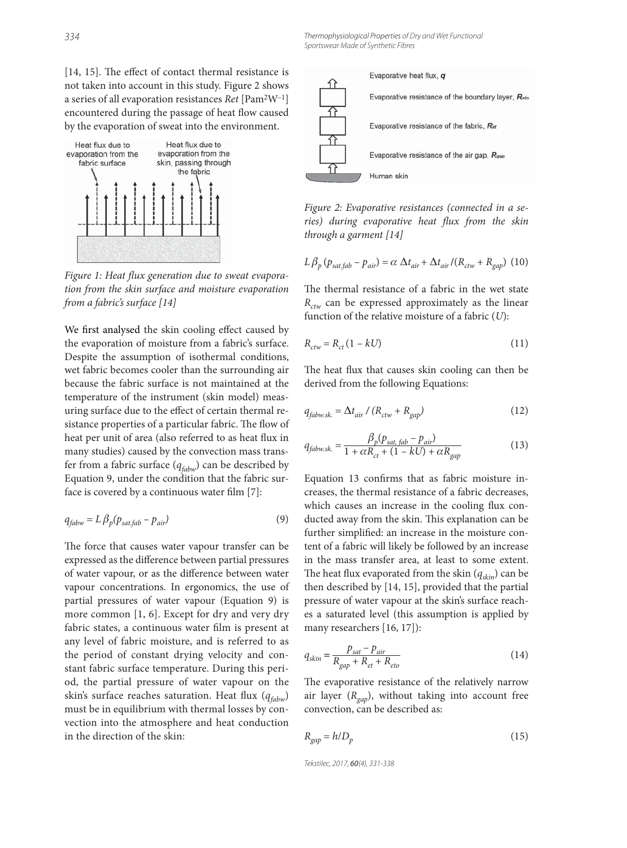$[14, 15]$ . The effect of contact thermal resistance is not taken into account in this study. Figure 2 shows a series of all evaporation resistances *Ret* [Pam2W–1] encountered during the passage of heat flow caused by the evaporation of sweat into the environment.



Figure 1: Heat flux generation due to sweat evapora*tion from the skin surface and moisture evaporation from a fabric's surface [14]*

We first analysed the skin cooling effect caused by the evaporation of moisture from a fabric's surface. Despite the assumption of isothermal conditions, wet fabric becomes cooler than the surrounding air because the fabric surface is not maintained at the temperature of the instrument (skin model) measuring surface due to the effect of certain thermal resistance properties of a particular fabric. The flow of heat per unit of area (also referred to as heat flux in many studies) caused by the convection mass transfer from a fabric surface (*qfabw*) can be described by Equation 9, under the condition that the fabric surface is covered by a continuous water film  $[7]$ :

$$
q_{fabw} = L \beta_p (p_{sat,fab} - p_{air}) \tag{9}
$$

The force that causes water vapour transfer can be expressed as the difference between partial pressures of water vapour, or as the difference between water vapour concentrations. In ergonomics, the use of partial pressures of water vapour (Equation 9) is more common [1, 6]. Except for dry and very dry fabric states, a continuous water film is present at any level of fabric moisture, and is referred to as the period of constant drying velocity and constant fabric surface temperature. During this period, the partial pressure of water vapour on the skin's surface reaches saturation. Heat flux ( $q_{fabw}$ ) must be in equilibrium with thermal losses by convection into the atmosphere and heat conduction in the direction of the skin:



*Figure 2: Evaporative resistances (connected in a se*ries) during evaporative heat flux from the skin *through a garment [14]*

$$
L\beta_p (p_{sat,fab} - p_{air}) = \alpha \Delta t_{air} + \Delta t_{air}/(R_{ctw} + R_{gap})
$$
 (10)

The thermal resistance of a fabric in the wet state *R<sub>ctw</sub>* can be expressed approximately as the linear function of the relative moisture of a fabric (*U*):

$$
R_{ctw} = R_{ct} \left( 1 - kU \right) \tag{11}
$$

The heat flux that causes skin cooling can then be derived from the following Equations:

$$
q_{fabw sk.} = \Delta t_{air} / (R_{ctw} + R_{gap})
$$
\n(12)

$$
q_{fabwsk.} = \frac{\beta_p (p_{sat, fab} - p_{air})}{1 + \alpha R_{ct} + (1 - kU) + \alpha R_{gap}}
$$
(13)

Equation 13 confirms that as fabric moisture increases, the thermal resistance of a fabric decreases, which causes an increase in the cooling flux conducted away from the skin. This explanation can be further simplified: an increase in the moisture content of a fabric will likely be followed by an increase in the mass transfer area, at least to some extent. The heat flux evaporated from the skin  $(q_{skin})$  can be then described by [14, 15], provided that the partial pressure of water vapour at the skin's surface reaches a saturated level (this assumption is applied by many researchers [16, 17]):

$$
q_{skin} = \frac{p_{sat} - p_{air}}{R_{gap} + R_{et} + R_{eto}}\tag{14}
$$

The evaporative resistance of the relatively narrow air layer  $(R_{\text{gap}})$ , without taking into account free convection, can be described as:

$$
R_{gap} = h/D_p \tag{15}
$$

Tekstilec, 2017, 60(4), 331-338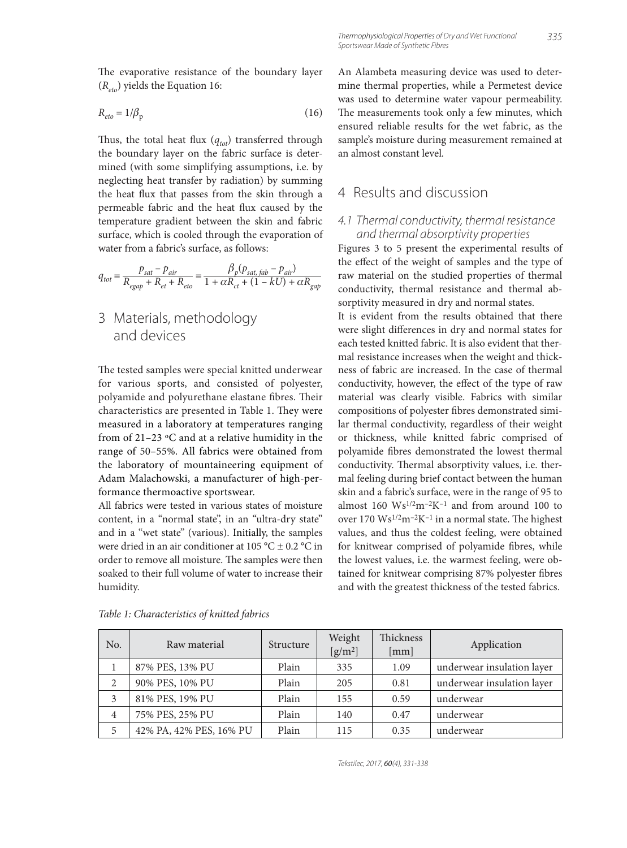The evaporative resistance of the boundary layer (*Reto*) yields the Equation 16:

$$
R_{eto} = 1/\beta_{\rm p} \tag{16}
$$

Thus, the total heat flux  $(q_{tot})$  transferred through the boundary layer on the fabric surface is determined (with some simplifying assumptions, i.e. by neglecting heat transfer by radiation) by summing the heat flux that passes from the skin through a permeable fabric and the heat flux caused by the temperature gradient between the skin and fabric surface, which is cooled through the evaporation of water from a fabric's surface, as follows:

$$
q_{tot} = \frac{p_{sat} - p_{air}}{R_{egap} + R_{et} + R_{eto}} = \frac{\beta_p (p_{sat,fab} - p_{air})}{1 + \alpha R_{ct} + (1 - kU) + \alpha R_{gap}}
$$

3 Materials, methodology and devices

The tested samples were special knitted underwear for various sports, and consisted of polyester, polyamide and polyurethane elastane fibres. Their characteristics are presented in Table 1. They were measured in a laboratory at temperatures ranging from of 21–23 ºC and at a relative humidity in the range of 50–55%. All fabrics were obtained from the laboratory of mountaineering equipment of Adam Malachowski, a manufacturer of high-performance thermoactive sportswear.

All fabrics were tested in various states of moisture content, in a "normal state", in an "ultra-dry state" and in a "wet state" (various). Initially, the samples were dried in an air conditioner at 105 °C  $\pm$  0.2 °C in order to remove all moisture. The samples were then soaked to their full volume of water to increase their humidity.

An Alambeta measuring device was used to determine thermal properties, while a Permetest device was used to determine water vapour permeability. The measurements took only a few minutes, which ensured reliable results for the wet fabric, as the sample's moisture during measurement remained at an almost constant level.

# 4 Results and discussion

#### 4.1 Thermal conductivity, thermal resistance and thermal absorptivity properties

Figures 3 to 5 present the experimental results of the effect of the weight of samples and the type of raw material on the studied properties of thermal conductivity, thermal resistance and thermal absorptivity measured in dry and normal states.

It is evident from the results obtained that there were slight differences in dry and normal states for each tested knitted fabric. It is also evident that thermal resistance increases when the weight and thickness of fabric are increased. In the case of thermal conductivity, however, the effect of the type of raw material was clearly visible. Fabrics with similar compositions of polyester fibres demonstrated similar thermal conductivity, regardless of their weight or thickness, while knitted fabric comprised of polyamide fibres demonstrated the lowest thermal conductivity. Thermal absorptivity values, i.e. thermal feeling during brief contact between the human skin and a fabric's surface, were in the range of 95 to almost  $160 \text{ W}\text{s}^{1/2}\text{m}^{-2}\text{K}^{-1}$  and from around  $100 \text{ to}$ over  $170 \text{ W}\text{s}^{1/2}\text{m}^{-2}\text{K}^{-1}$  in a normal state. The highest values, and thus the coldest feeling, were obtained for knitwear comprised of polyamide fibres, while the lowest values, i.e. the warmest feeling, were obtained for knitwear comprising 87% polyester fibres and with the greatest thickness of the tested fabrics.

| No.            | Raw material            | Structure | Weight<br>$[g/m^2]$ | <b>Thickness</b><br>[mm] | Application                |
|----------------|-------------------------|-----------|---------------------|--------------------------|----------------------------|
|                | 87% PES, 13% PU         | Plain     | 335                 | 1.09                     | underwear insulation layer |
| 2              | 90% PES, 10% PU         | Plain     | 205                 | 0.81                     | underwear insulation layer |
| 3              | 81% PES, 19% PU         | Plain     | 155                 | 0.59                     | underwear                  |
| $\overline{4}$ | 75% PES, 25% PU         | Plain     | 140                 | 0.47                     | underwear                  |
| 5              | 42% PA, 42% PES, 16% PU | Plain     | 115                 | 0.35                     | underwear                  |

*Table 1: Characteristics of knitted fabrics*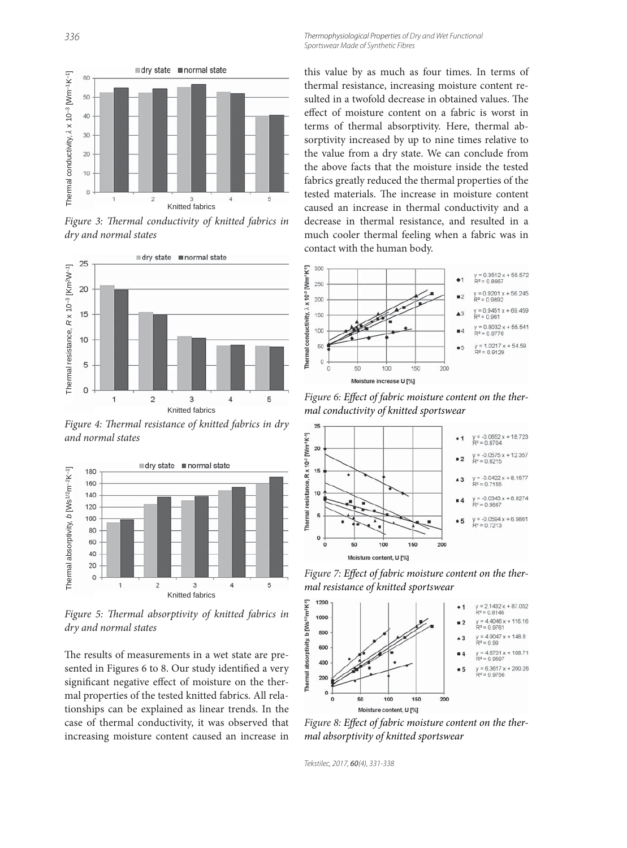Thermophysiological Properties of Dry and Wet Functional Sportswear Made of Synthetic Fibres



Figure 3: Thermal conductivity of knitted fabrics in *dry and normal states*



Figure 4: Thermal resistance of knitted fabrics in dry *and normal states*



Figure 5: Thermal absorptivity of knitted fabrics in *dry and normal states*

The results of measurements in a wet state are presented in Figures 6 to 8. Our study identified a very significant negative effect of moisture on the thermal properties of the tested knitted fabrics. All relationships can be explained as linear trends. In the case of thermal conductivity, it was observed that increasing moisture content caused an increase in

this value by as much as four times. In terms of thermal resistance, increasing moisture content resulted in a twofold decrease in obtained values. The effect of moisture content on a fabric is worst in terms of thermal absorptivity. Here, thermal absorptivity increased by up to nine times relative to the value from a dry state. We can conclude from the above facts that the moisture inside the tested fabrics greatly reduced the thermal properties of the tested materials. The increase in moisture content caused an increase in thermal conductivity and a decrease in thermal resistance, and resulted in a much cooler thermal feeling when a fabric was in contact with the human body.



Figure 6: Effect of fabric moisture content on the ther*mal conductivity of knitted sportswear*



Figure 7: Effect of fabric moisture content on the ther*mal resistance of knitted sportswear*



Figure 8: Effect of fabric moisture content on the ther*mal absorptivity of knitted sportswear*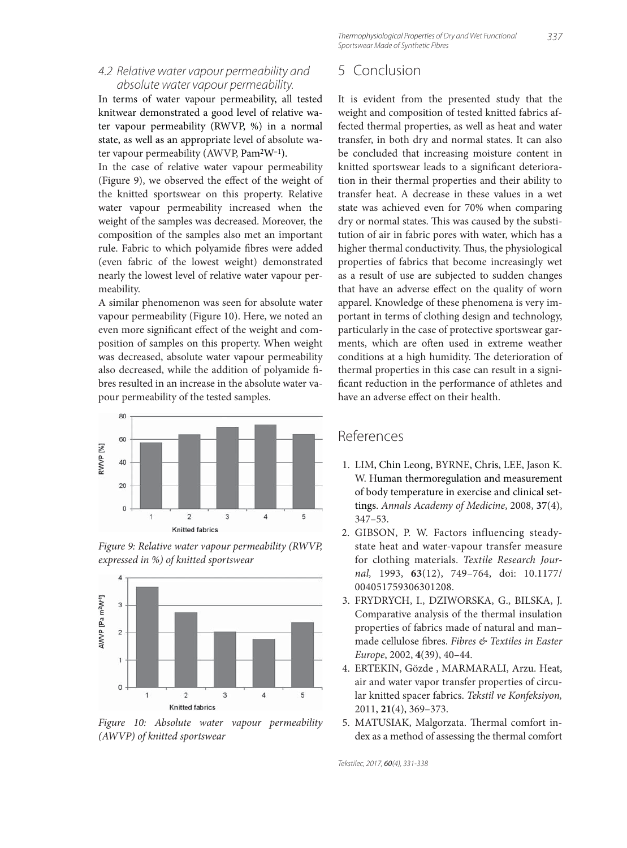337 Thermophysiological Properties of Dry and Wet Functional Sportswear Made of Synthetic Fibres

#### 4.2 Relative water vapour permeability and absolute water vapour permeability.

In terms of water vapour permeability, all tested knitwear demonstrated a good level of relative water vapour permeability (RWVP, %) in a normal state, as well as an appropriate level of absolute water vapour permeability (AWVP, Pam2W–1).

In the case of relative water vapour permeability (Figure 9), we observed the effect of the weight of the knitted sportswear on this property. Relative water vapour permeability increased when the weight of the samples was decreased. Moreover, the composition of the samples also met an important rule. Fabric to which polyamide fibres were added (even fabric of the lowest weight) demonstrated nearly the lowest level of relative water vapour permeability.

A similar phenomenon was seen for absolute water vapour permeability (Figure 10). Here, we noted an even more significant effect of the weight and composition of samples on this property. When weight was decreased, absolute water vapour permeability also decreased, while the addition of polyamide fibres resulted in an increase in the absolute water vapour permeability of the tested samples.







*Figure 10: Absolute water vapour permeability (AWVP) of knitted sportswear*

# 5 Conclusion

It is evident from the presented study that the weight and composition of tested knitted fabrics affected thermal properties, as well as heat and water transfer, in both dry and normal states. It can also be concluded that increasing moisture content in knitted sportswear leads to a significant deterioration in their thermal properties and their ability to transfer heat. A decrease in these values in a wet state was achieved even for 70% when comparing dry or normal states. This was caused by the substitution of air in fabric pores with water, which has a higher thermal conductivity. Thus, the physiological properties of fabrics that become increasingly wet as a result of use are subjected to sudden changes that have an adverse effect on the quality of worn apparel. Knowledge of these phenomena is very important in terms of clothing design and technology, particularly in the case of protective sportswear garments, which are often used in extreme weather conditions at a high humidity. The deterioration of thermal properties in this case can result in a significant reduction in the performance of athletes and have an adverse effect on their health.

# References

- 1. LIM, Chin Leong, BYRNE, Chris, LEE, Jason K. W. Human thermoregulation and measurement of body temperature in exercise and clinical settings. *Annals Academy of Medicine*, 2008, **37**(4), 347–53.
- 2. GIBSON, P. W. Factors influencing steadystate heat and water-vapour transfer measure for clothing materials. *Textile Research Journal,* 1993, **63**(12), 749–764, doi: 10.1177/ 004051759306301208.
- 3. FRYDRYCH, I., DZIWORSKA, G., BILSKA, J. Comparative analysis of the thermal insulation properties of fabrics made of natural and man– made cellulose fibres. Fibres & Textiles in Easter *Europe*, 2002, **4**(39), 40–44.
- 4. ERTEKIN, Gözde , MARMARALI, Arzu. Heat, air and water vapor transfer properties of circular knitted spacer fabrics. *Tekstil ve Konfeksiyon,* 2011, **21**(4), 369–373.
- 5. MATUSIAK, Malgorzata. Thermal comfort index as a method of assessing the thermal comfort